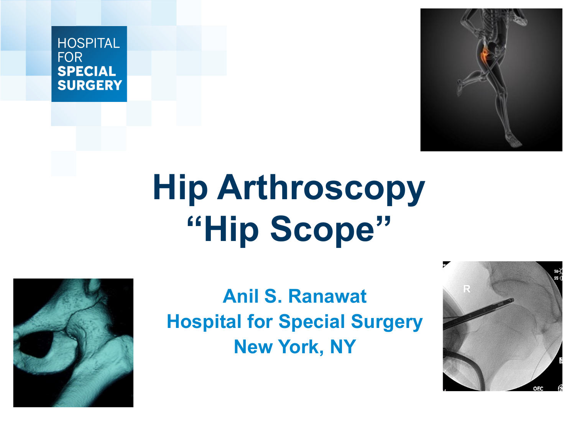### HOSPITAL **FOR SPECIAL SURGERY**

# **Hip Arthroscopy "Hip Scope"**

**Anil S. Ranawat Hospital for Special Surgery New York, NY** 





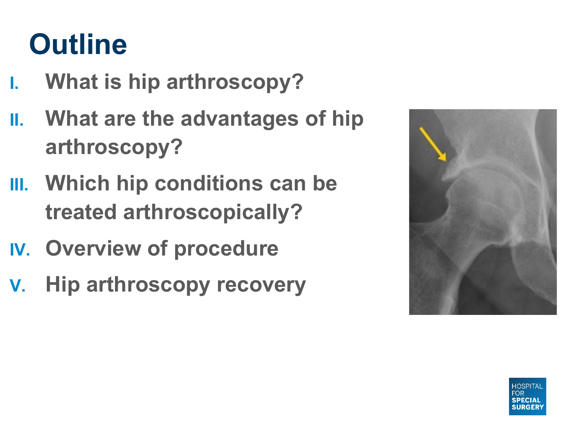### **Outline**

- **I. What is hip arthroscopy?**
- **II. What are the advantages of hip arthroscopy?**
- **III. Which hip conditions can be treated arthroscopically?**
- **IV. Overview of procedure**
- **V. Hip arthroscopy recovery**

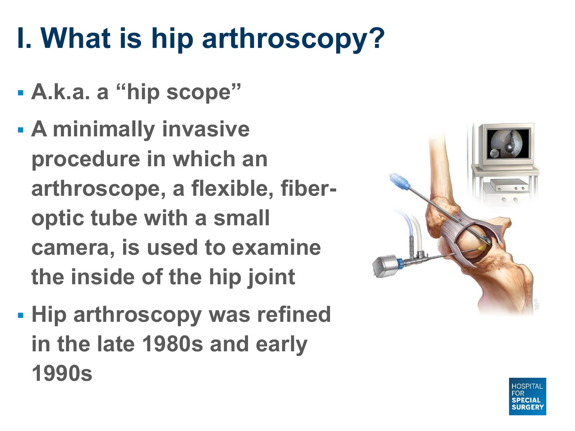### **I. What is hip arthroscopy?**

- § **A.k.a. a "hip scope"**
- § **A minimally invasive procedure in which an arthroscope, a flexible, fiberoptic tube with a small camera, is used to examine the inside of the hip joint**
- § **Hip arthroscopy was refined in the late 1980s and early 1990s**



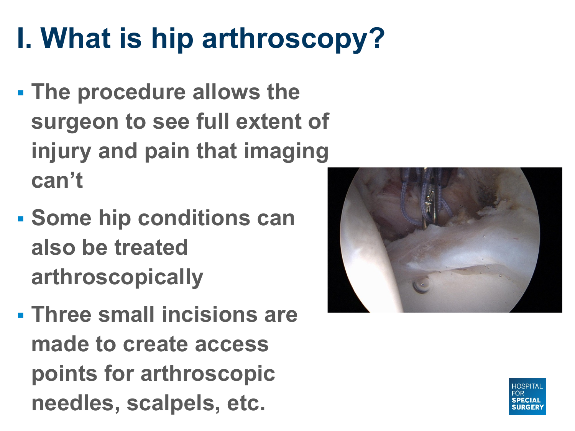## **I. What is hip arthroscopy?**

- § **The procedure allows the surgeon to see full extent of injury and pain that imaging can't**
- § **Some hip conditions can also be treated arthroscopically**
- § **Three small incisions are made to create access points for arthroscopic needles, scalpels, etc.**



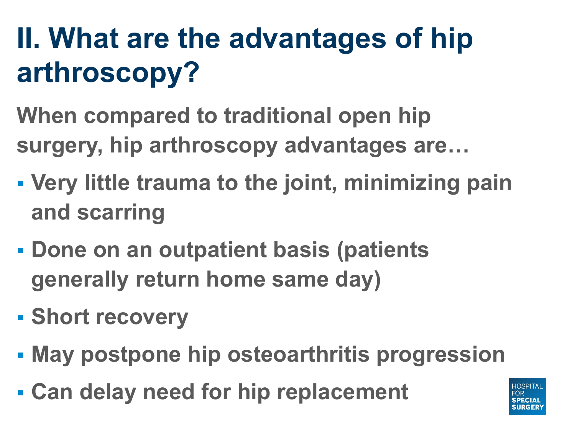## **II. What are the advantages of hip arthroscopy?**

- **When compared to traditional open hip surgery, hip arthroscopy advantages are…**
- § **Very little trauma to the joint, minimizing pain and scarring**
- § **Done on an outpatient basis (patients generally return home same day)**
- § **Short recovery**
- § **May postpone hip osteoarthritis progression**
- § **Can delay need for hip replacement**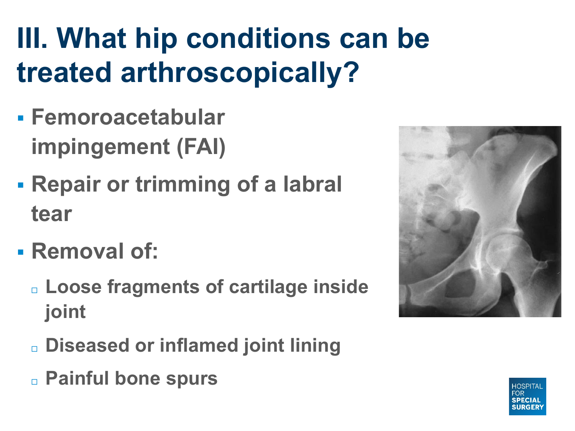## **III. What hip conditions can be treated arthroscopically?**

- § **Femoroacetabular impingement (FAI)**
- § **Repair or trimming of a labral tear**
- § **Removal of:**
	- ¨ **Loose fragments of cartilage inside joint**
	- ¨ **Diseased or inflamed joint lining** ¨ **Painful bone spurs**



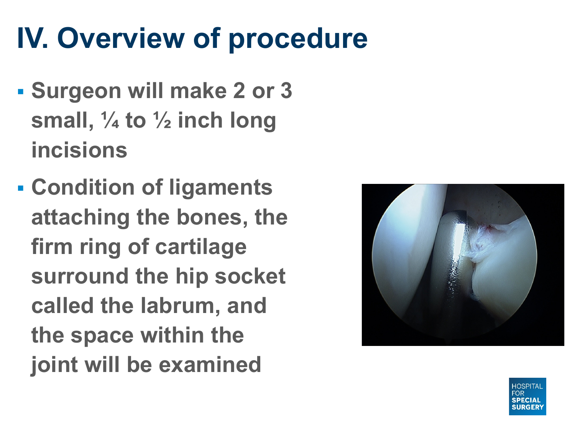### **IV. Overview of procedure**

- § **Surgeon will make 2 or 3 small, ¼ to ½ inch long incisions**
- § **Condition of ligaments attaching the bones, the firm ring of cartilage surround the hip socket called the labrum, and the space within the joint will be examined**



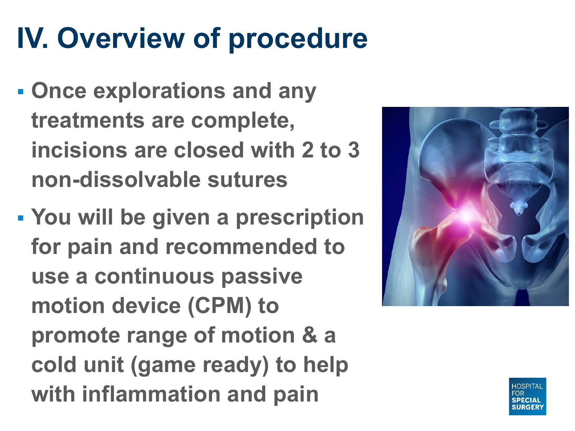### **IV. Overview of procedure**

- § **Once explorations and any treatments are complete, incisions are closed with 2 to 3 non-dissolvable sutures**
- § **You will be given a prescription for pain and recommended to use a continuous passive motion device (CPM) to promote range of motion & a cold unit (game ready) to help with inflammation and pain**



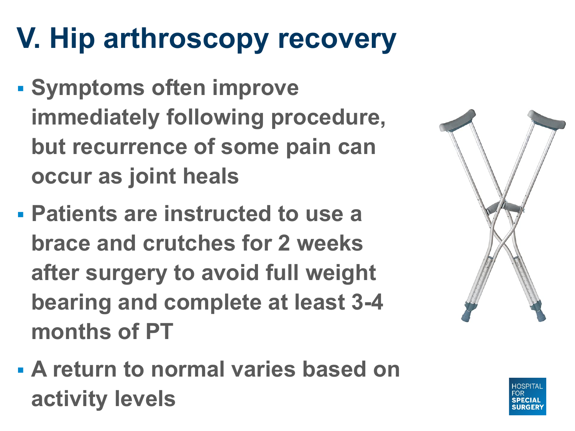### **V. Hip arthroscopy recovery**

- § **Symptoms often improve immediately following procedure, but recurrence of some pain can occur as joint heals**
- § **Patients are instructed to use a brace and crutches for 2 weeks after surgery to avoid full weight bearing and complete at least 3-4 months of PT**
- § **A return to normal varies based on activity levels**